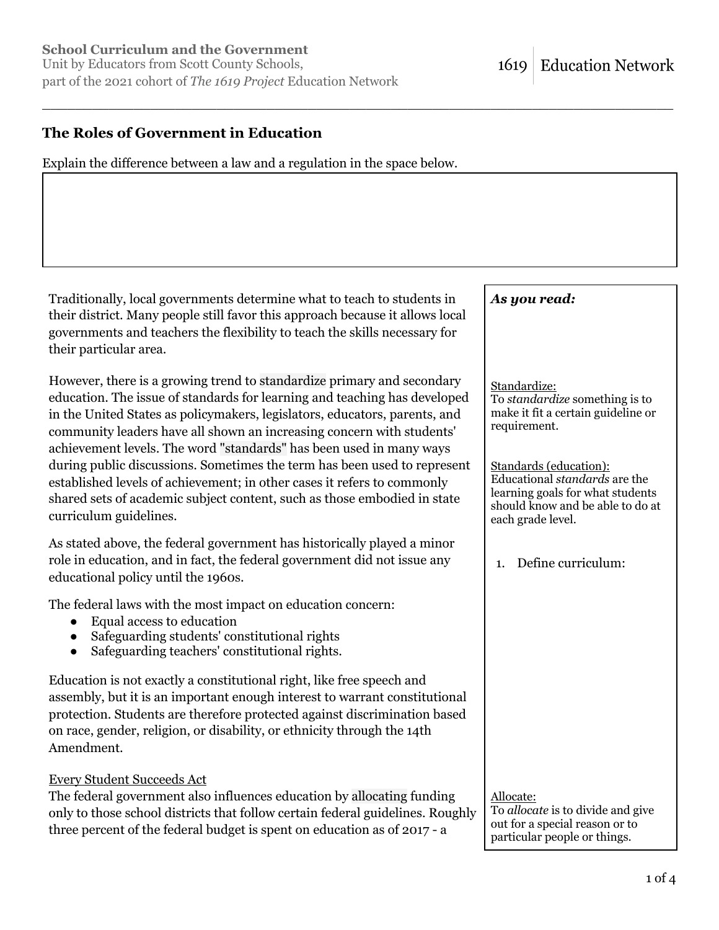## **The Roles of Government in Education**

Explain the difference between a law and a regulation in the space below.

\_\_\_\_\_\_\_\_\_\_\_\_\_\_\_\_\_\_\_\_\_\_\_\_\_\_\_\_\_\_\_\_\_\_\_\_\_\_\_\_\_\_\_\_\_\_\_\_\_\_\_\_\_\_\_\_\_\_\_\_\_\_\_\_\_\_\_\_\_\_\_\_\_\_\_\_

Traditionally, local governments determine what to teach to students in their district. Many people still favor this approach because it allows local governments and teachers the flexibility to teach the skills necessary for their particular area.

However, there is a growing trend to standardize primary and secondary education. The issue of standards for learning and teaching has developed in the United States as policymakers, legislators, educators, parents, and community leaders have all shown an increasing concern with students' achievement levels. The word "standards" has been used in many ways during public discussions. Sometimes the term has been used to represent established levels of achievement; in other cases it refers to commonly shared sets of academic subject content, such as those embodied in state curriculum guidelines.

As stated above, the federal government has historically played a minor role in education, and in fact, the federal government did not issue any educational policy until the 1960s.

The federal laws with the most impact on education concern:

- Equal access to education
- Safeguarding students' constitutional rights
- Safeguarding teachers' constitutional rights.

Education is not exactly a constitutional right, like free speech and assembly, but it is an important enough interest to warrant constitutional protection. Students are therefore protected against discrimination based on race, gender, religion, or disability, or ethnicity through the 14th Amendment.

#### Every Student Succeeds Act

The federal government also influences education by allocating funding only to those school districts that follow certain federal guidelines. Roughly three percent of the federal budget is spent on education as of 2017 - a

|    | As you read:                                                                                                                                         |
|----|------------------------------------------------------------------------------------------------------------------------------------------------------|
|    |                                                                                                                                                      |
|    | Standardize:<br>To standardize something is to<br>make it fit a certain guideline or<br>requirement.                                                 |
|    | Standards (education):<br>Educational standards are the<br>learning goals for what students<br>should know and be able to do at<br>each grade level. |
|    | Define curriculum:<br>1.                                                                                                                             |
|    |                                                                                                                                                      |
|    |                                                                                                                                                      |
|    |                                                                                                                                                      |
|    |                                                                                                                                                      |
| .7 | Allocate:<br>To allocate is to divide and give                                                                                                       |

out for a special reason or to particular people or things.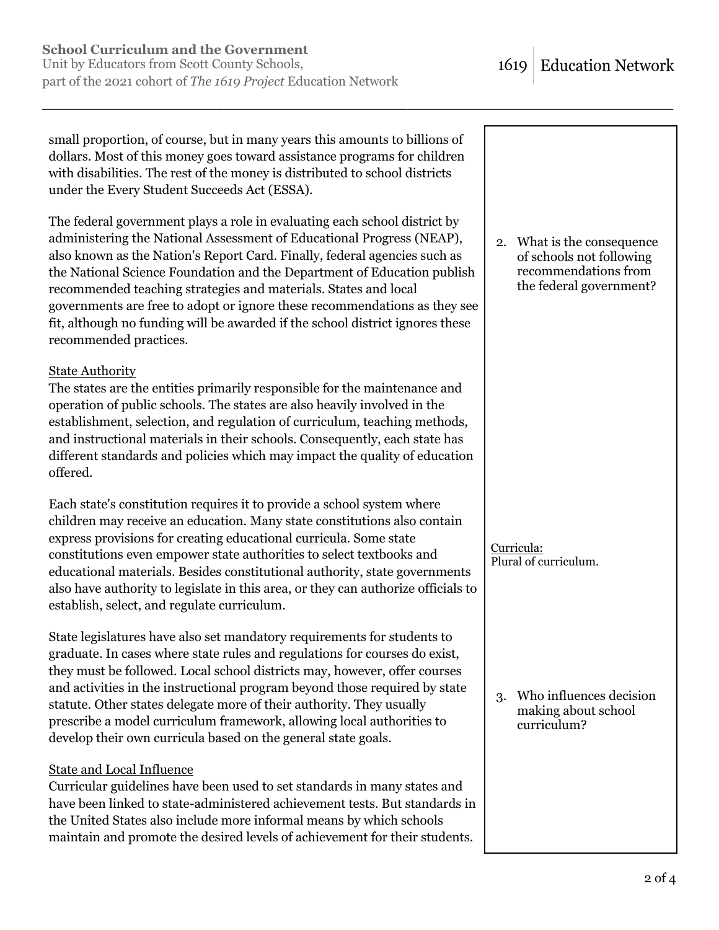small proportion, of course, but in many years this amounts to billions of dollars. Most of this money goes toward assistance programs for children with disabilities. The rest of the money is distributed to school districts under the Every Student Succeeds Act (ESSA).

\_\_\_\_\_\_\_\_\_\_\_\_\_\_\_\_\_\_\_\_\_\_\_\_\_\_\_\_\_\_\_\_\_\_\_\_\_\_\_\_\_\_\_\_\_\_\_\_\_\_\_\_\_\_\_\_\_\_\_\_\_\_\_\_\_\_\_\_\_\_\_\_\_\_\_\_

The federal government plays a role in evaluating each school district by administering the National Assessment of Educational Progress (NEAP), also known as the Nation's Report Card. Finally, federal agencies such as the National Science Foundation and the Department of Education publish recommended teaching strategies and materials. States and local governments are free to adopt or ignore these recommendations as they see fit, although no funding will be awarded if the school district ignores these recommended practices.

### State Authority

The states are the entities primarily responsible for the maintenance and operation of public schools. The states are also heavily involved in the establishment, selection, and regulation of curriculum, teaching methods, and instructional materials in their schools. Consequently, each state has different standards and policies which may impact the quality of education offered.

Each state's constitution requires it to provide a school system where children may receive an education. Many state constitutions also contain express provisions for creating educational curricula. Some state constitutions even empower state authorities to select textbooks and educational materials. Besides constitutional authority, state governments also have authority to legislate in this area, or they can authorize officials to establish, select, and regulate curriculum.

State legislatures have also set mandatory requirements for students to graduate. In cases where state rules and regulations for courses do exist, they must be followed. Local school districts may, however, offer courses and activities in the instructional program beyond those required by state statute. Other states delegate more of their authority. They usually prescribe a model curriculum framework, allowing local authorities to develop their own curricula based on the general state goals.

# State and Local Influence

Curricular guidelines have been used to set standards in many states and have been linked to state-administered achievement tests. But standards in the United States also include more informal means by which schools maintain and promote the desired levels of achievement for their students.

2. What is the consequence of schools not following recommendations from the federal government?

Curricula: Plural of curriculum.

3. Who influences decision making about school curriculum?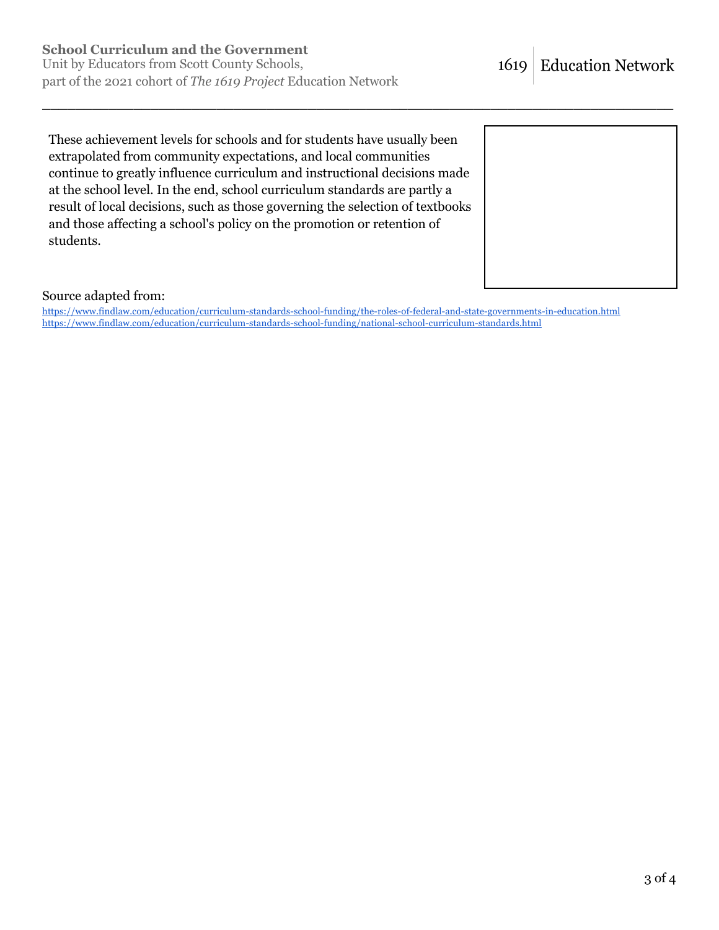These achievement levels for schools and for students have usually been extrapolated from community expectations, and local communities continue to greatly influence curriculum and instructional decisions made at the school level. In the end, school curriculum standards are partly a result of local decisions, such as those governing the selection of textbooks and those affecting a school's policy on the promotion or retention of students.



#### Source adapted from:

https://www.findlaw.com/education/curriculum-standards-school-funding/the-roles-of-federal-and-state-governments-in-education.html https://www.findlaw.com/education/curriculum-standards-school-funding/national-school-curriculum-standards.html

\_\_\_\_\_\_\_\_\_\_\_\_\_\_\_\_\_\_\_\_\_\_\_\_\_\_\_\_\_\_\_\_\_\_\_\_\_\_\_\_\_\_\_\_\_\_\_\_\_\_\_\_\_\_\_\_\_\_\_\_\_\_\_\_\_\_\_\_\_\_\_\_\_\_\_\_